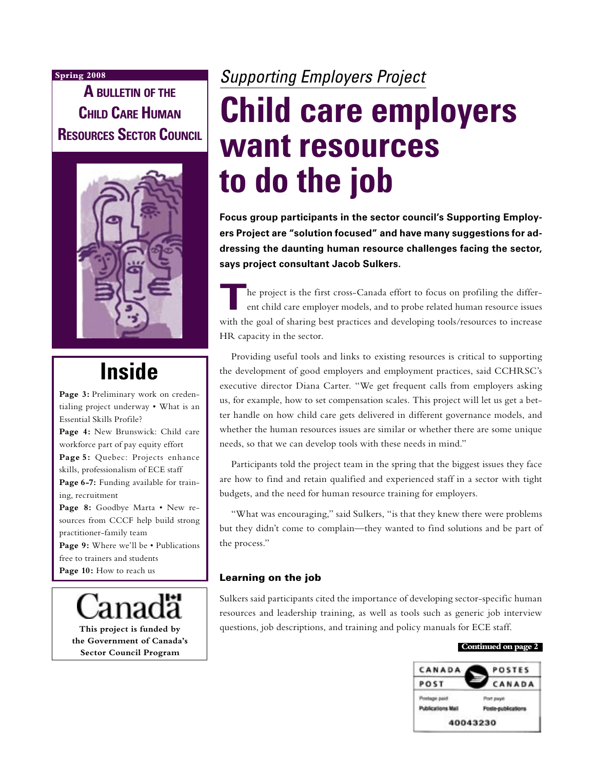#### **Spring 2008**

**A BULLETIN OF THE CHILD CARE HUMAN RESOURCES SECTOR COUNCIL**



## **Inside**

**Page 3:** Preliminary work on credentialing project underway • What is an Essential Skills Profile? **Page 4:** New Brunswick: Child care workforce part of pay equity effort **Page 5:** Quebec: Projects enhance skills, professionalism of ECE staff Page 6-7: Funding available for training, recruitment **Page 8:** Goodbye Marta • New resources from CCCF help build strong practitioner-family team

Page 9: Where we'll be • Publications free to trainers and students

Page 10: How to reach us

**This project is funded by the Government of Canada's Sector Council Program**

# Supporting Employers Project **Child care employers**

# **want resources to do the job**

**Focus group participants in the sector council's Supporting Employers Project are "solution focused" and have many suggestions for addressing the daunting human resource challenges facing the sector, says project consultant Jacob Sulkers.**

**T**he project is the first cross-Canada effort to focus on profiling the different child care employer models, and to probe related human resource issues with the goal of sharing best practices and developing tools/resources to increase HR capacity in the sector.

Providing useful tools and links to existing resources is critical to supporting the development of good employers and employment practices, said CCHRSC's executive director Diana Carter. "We get frequent calls from employers asking us, for example, how to set compensation scales. This project will let us get a better handle on how child care gets delivered in different governance models, and whether the human resources issues are similar or whether there are some unique needs, so that we can develop tools with these needs in mind."

Participants told the project team in the spring that the biggest issues they face are how to find and retain qualified and experienced staff in a sector with tight budgets, and the need for human resource training for employers.

"What was encouraging," said Sulkers, "is that they knew there were problems but they didn't come to complain—they wanted to find solutions and be part of the process."

#### Learning on the job

Sulkers said participants cited the importance of developing sector-specific human resources and leadership training, as well as tools such as generic job interview questions, job descriptions, and training and policy manuals for ECE staff.

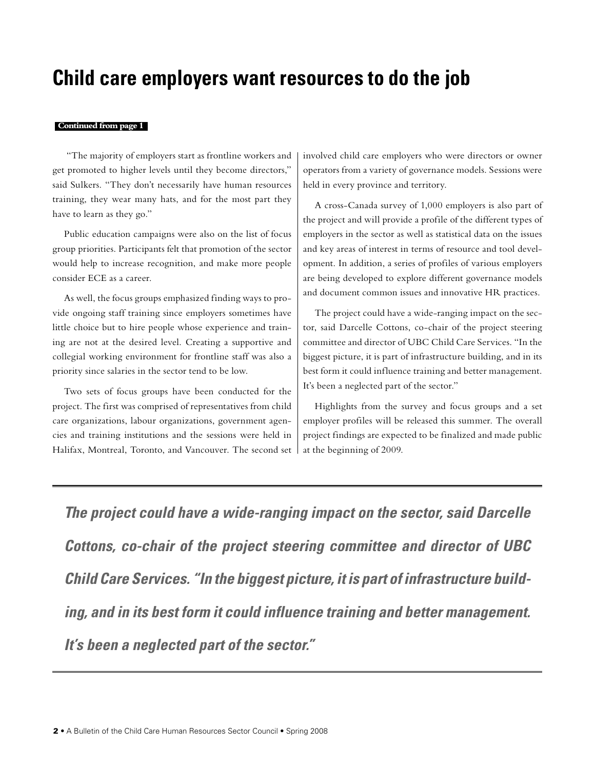## **Child care employers want resources to do the job**

#### **Continued from page 1**

 "The majority of employers start as frontline workers and get promoted to higher levels until they become directors," said Sulkers. "They don't necessarily have human resources training, they wear many hats, and for the most part they have to learn as they go."

Public education campaigns were also on the list of focus group priorities. Participants felt that promotion of the sector would help to increase recognition, and make more people consider ECE as a career.

As well, the focus groups emphasized finding ways to provide ongoing staff training since employers sometimes have little choice but to hire people whose experience and training are not at the desired level. Creating a supportive and collegial working environment for frontline staff was also a priority since salaries in the sector tend to be low.

Two sets of focus groups have been conducted for the project. The first was comprised of representatives from child care organizations, labour organizations, government agencies and training institutions and the sessions were held in Halifax, Montreal, Toronto, and Vancouver. The second set

involved child care employers who were directors or owner operators from a variety of governance models. Sessions were held in every province and territory.

A cross-Canada survey of 1,000 employers is also part of the project and will provide a profile of the different types of employers in the sector as well as statistical data on the issues and key areas of interest in terms of resource and tool development. In addition, a series of profiles of various employers are being developed to explore different governance models and document common issues and innovative HR practices.

The project could have a wide-ranging impact on the sector, said Darcelle Cottons, co-chair of the project steering committee and director of UBC Child Care Services. "In the biggest picture, it is part of infrastructure building, and in its best form it could influence training and better management. It's been a neglected part of the sector."

Highlights from the survey and focus groups and a set employer profiles will be released this summer. The overall project findings are expected to be finalized and made public at the beginning of 2009.

**The project could have a wide-ranging impact on the sector, said Darcelle Cottons, co-chair of the project steering committee and director of UBC Child Care Services. "In the biggest picture, it is part of infrastructure building, and in its best form it could influence training and better management. It's been a neglected part of the sector."**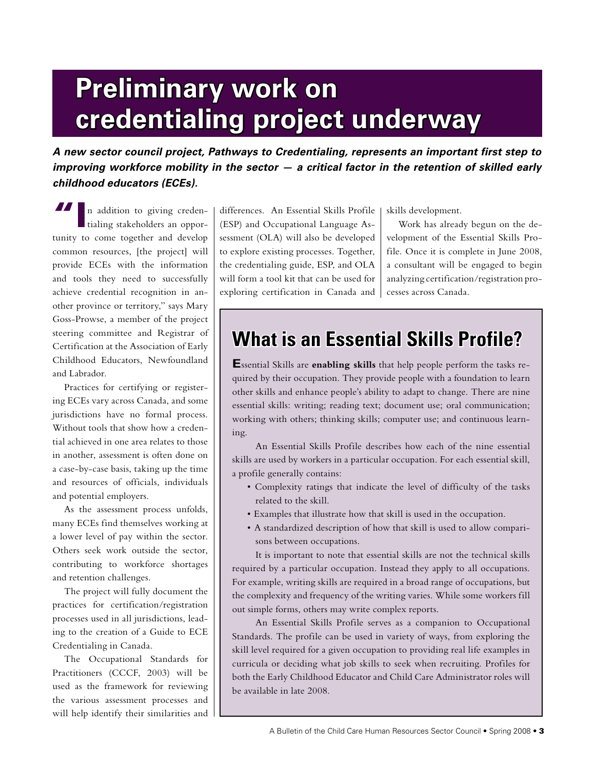# **Preliminary work on credentialing project underway**

**A new sector council project, Pathways to Credentialing, represents an important first step to improving workforce mobility in the sector — a critical factor in the retention of skilled early childhood educators (ECEs).**

**TI**n addition to giving credentialing stakeholders an opportunity to come together and develop common resources, [the project] will provide ECEs with the information and tools they need to successfully achieve credential recognition in another province or territory," says Mary Goss-Prowse, a member of the project steering committee and Registrar of Certification at the Association of Early Childhood Educators, Newfoundland and Labrador.

Practices for certifying or registering ECEs vary across Canada, and some jurisdictions have no formal process. Without tools that show how a credential achieved in one area relates to those in another, assessment is often done on a case-by-case basis, taking up the time and resources of officials, individuals and potential employers.

As the assessment process unfolds, many ECEs find themselves working at a lower level of pay within the sector. Others seek work outside the sector, contributing to workforce shortages and retention challenges.

The project will fully document the practices for certification/registration processes used in all jurisdictions, leading to the creation of a Guide to ECE Credentialing in Canada.

The Occupational Standards for Practitioners (CCCF, 2003) will be used as the framework for reviewing the various assessment processes and will help identify their similarities and

differences. An Essential Skills Profile (ESP) and Occupational Language Assessment (OLA) will also be developed to explore existing processes. Together, the credentialing guide, ESP, and OLA will form a tool kit that can be used for exploring certification in Canada and skills development.

Work has already begun on the development of the Essential Skills Profile. Once it is complete in June 2008, a consultant will be engaged to begin analyzing certification/registration processes across Canada.

## **What is an Essential Skills Profile?**

**E**ssential Skills are **enabling skills** that help people perform the tasks required by their occupation. They provide people with a foundation to learn other skills and enhance people's ability to adapt to change. There are nine essential skills: writing; reading text; document use; oral communication; working with others; thinking skills; computer use; and continuous learning.

An Essential Skills Profile describes how each of the nine essential skills are used by workers in a particular occupation. For each essential skill, a profile generally contains:

- Complexity ratings that indicate the level of difficulty of the tasks related to the skill.
- Examples that illustrate how that skill is used in the occupation.
- A standardized description of how that skill is used to allow comparisons between occupations.

It is important to note that essential skills are not the technical skills required by a particular occupation. Instead they apply to all occupations. For example, writing skills are required in a broad range of occupations, but the complexity and frequency of the writing varies. While some workers fill out simple forms, others may write complex reports.

An Essential Skills Profile serves as a companion to Occupational Standards. The profile can be used in variety of ways, from exploring the skill level required for a given occupation to providing real life examples in curricula or deciding what job skills to seek when recruiting. Profiles for both the Early Childhood Educator and Child Care Administrator roles will be available in late 2008.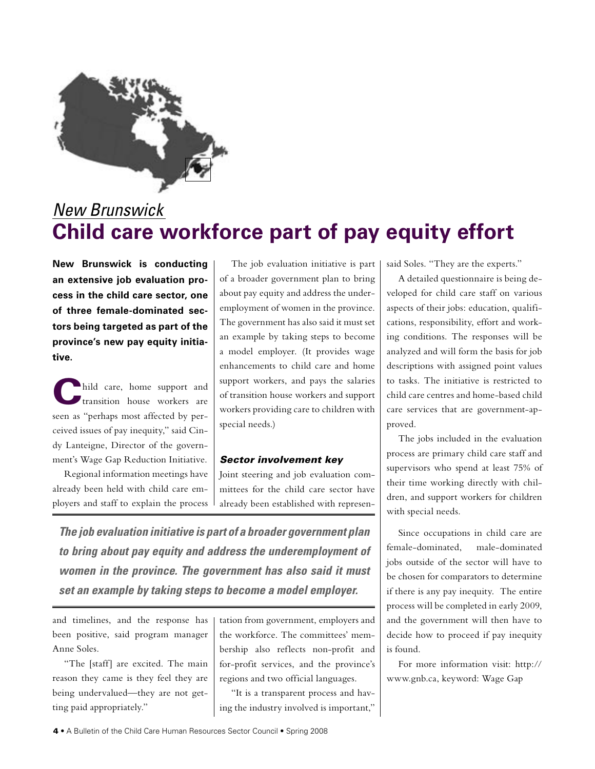

## New Brunswick **Child care workforce part of pay equity effort**

**New Brunswick is conducting an extensive job evaluation process in the child care sector, one of three female-dominated sectors being targeted as part of the province's new pay equity initiative.**

**C**hild care, home support and transition house workers are seen as "perhaps most affected by perceived issues of pay inequity," said Cindy Lanteigne, Director of the government's Wage Gap Reduction Initiative.

Regional information meetings have already been held with child care employers and staff to explain the process

The job evaluation initiative is part of a broader government plan to bring about pay equity and address the underemployment of women in the province. The government has also said it must set an example by taking steps to become a model employer. (It provides wage enhancements to child care and home support workers, and pays the salaries of transition house workers and support workers providing care to children with special needs.)

#### Sector involvement key

Joint steering and job evaluation committees for the child care sector have already been established with represen-

**The job evaluation initiative is part of a broader government plan to bring about pay equity and address the underemployment of women in the province. The government has also said it must set an example by taking steps to become a model employer.**

and timelines, and the response has been positive, said program manager Anne Soles.

"The [staff] are excited. The main reason they came is they feel they are being undervalued—they are not getting paid appropriately."

tation from government, employers and the workforce. The committees' membership also reflects non-profit and for-profit services, and the province's regions and two official languages.

"It is a transparent process and having the industry involved is important," said Soles. "They are the experts."

A detailed questionnaire is being developed for child care staff on various aspects of their jobs: education, qualifications, responsibility, effort and working conditions. The responses will be analyzed and will form the basis for job descriptions with assigned point values to tasks. The initiative is restricted to child care centres and home-based child care services that are government-approved.

The jobs included in the evaluation process are primary child care staff and supervisors who spend at least 75% of their time working directly with children, and support workers for children with special needs.

Since occupations in child care are female-dominated, male-dominated jobs outside of the sector will have to be chosen for comparators to determine if there is any pay inequity. The entire process will be completed in early 2009, and the government will then have to decide how to proceed if pay inequity is found.

For more information visit: http:// www.gnb.ca, keyword: Wage Gap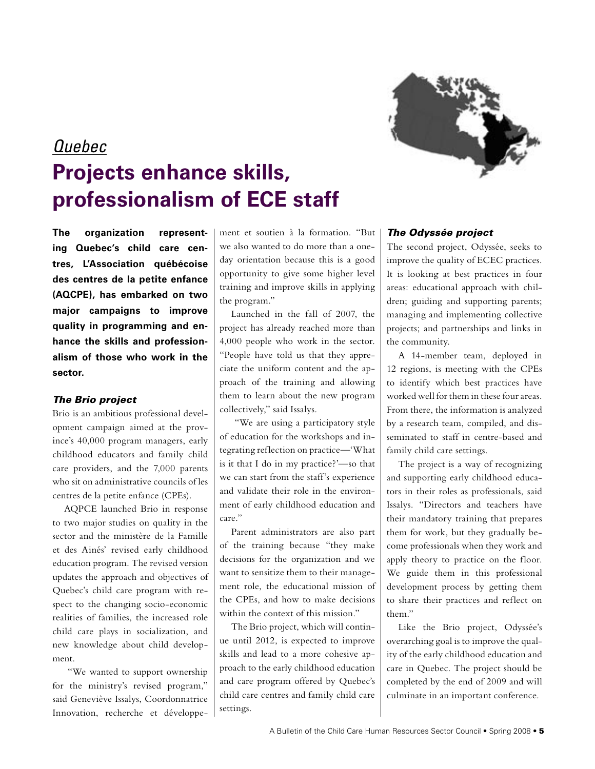

## Quebec **Projects enhance skills, professionalism of ECE staff**

**The organization representing Quebec's child care centres, L'Association québécoise des centres de la petite enfance (AQCPE), has embarked on two major campaigns to improve quality in programming and enhance the skills and professionalism of those who work in the sector.**

#### The Brio project

Brio is an ambitious professional development campaign aimed at the province's 40,000 program managers, early childhood educators and family child care providers, and the 7,000 parents who sit on administrative councils of les centres de la petite enfance (CPEs).

AQPCE launched Brio in response to two major studies on quality in the sector and the ministère de la Famille et des Ainés' revised early childhood education program. The revised version updates the approach and objectives of Quebec's child care program with respect to the changing socio-economic realities of families, the increased role child care plays in socialization, and new knowledge about child development.

 "We wanted to support ownership for the ministry's revised program," said Geneviève Issalys, Coordonnatrice Innovation, recherche et développement et soutien à la formation. "But we also wanted to do more than a oneday orientation because this is a good opportunity to give some higher level training and improve skills in applying the program."

Launched in the fall of 2007, the project has already reached more than 4,000 people who work in the sector. "People have told us that they appreciate the uniform content and the approach of the training and allowing them to learn about the new program collectively," said Issalys.

 "We are using a participatory style of education for the workshops and integrating reflection on practice—'What is it that I do in my practice?'—so that we can start from the staff's experience and validate their role in the environment of early childhood education and care."

Parent administrators are also part of the training because "they make decisions for the organization and we want to sensitize them to their management role, the educational mission of the CPEs, and how to make decisions within the context of this mission."

The Brio project, which will continue until 2012, is expected to improve skills and lead to a more cohesive approach to the early childhood education and care program offered by Quebec's child care centres and family child care settings.

#### The Odyssée project

The second project, Odyssée, seeks to improve the quality of ECEC practices. It is looking at best practices in four areas: educational approach with children; guiding and supporting parents; managing and implementing collective projects; and partnerships and links in the community.

A 14-member team, deployed in 12 regions, is meeting with the CPEs to identify which best practices have worked well for them in these four areas. From there, the information is analyzed by a research team, compiled, and disseminated to staff in centre-based and family child care settings.

The project is a way of recognizing and supporting early childhood educators in their roles as professionals, said Issalys. "Directors and teachers have their mandatory training that prepares them for work, but they gradually become professionals when they work and apply theory to practice on the floor. We guide them in this professional development process by getting them to share their practices and reflect on them."

Like the Brio project, Odyssée's overarching goal is to improve the quality of the early childhood education and care in Quebec. The project should be completed by the end of 2009 and will culminate in an important conference.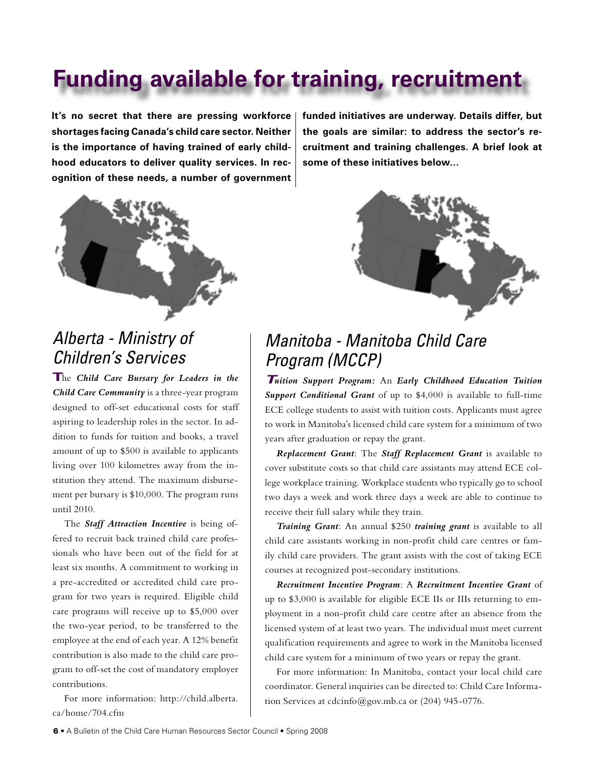## **Funding available for training, recruitment**

**It's no secret that there are pressing workforce shortages facing Canada's child care sector. Neither is the importance of having trained of early childhood educators to deliver quality services. In recognition of these needs, a number of government** 



### Alberta - Ministry of Children's Services

**T**he *Child Care Bursary for Leaders in the Child Care Community* is a three-year program designed to off-set educational costs for staff aspiring to leadership roles in the sector. In addition to funds for tuition and books, a travel amount of up to \$500 is available to applicants living over 100 kilometres away from the institution they attend. The maximum disbursement per bursary is \$10,000. The program runs until 2010.

The *Staff Attraction Incentive* is being offered to recruit back trained child care professionals who have been out of the field for at least six months. A commitment to working in a pre-accredited or accredited child care program for two years is required. Eligible child care programs will receive up to \$5,000 over the two-year period, to be transferred to the employee at the end of each year. A 12% benefit contribution is also made to the child care program to off-set the cost of mandatory employer contributions.

For more information: http://child.alberta. ca/home/704.cfm

**funded initiatives are underway. Details differ, but the goals are similar: to address the sector's recruitment and training challenges. A brief look at some of these initiatives below…**



## Manitoba - Manitoba Child Care Program (MCCP)

**T***uition Support Program:* An *Early Childhood Education Tuition Support Conditional Grant* of up to \$4,000 is available to full-time ECE college students to assist with tuition costs. Applicants must agree to work in Manitoba's licensed child care system for a minimum of two years after graduation or repay the grant.

*Replacement Grant*: The *Staff Replacement Grant* is available to cover substitute costs so that child care assistants may attend ECE college workplace training. Workplace students who typically go to school two days a week and work three days a week are able to continue to receive their full salary while they train.

*Training Grant*: An annual \$250 *training grant* is available to all child care assistants working in non-profit child care centres or family child care providers. The grant assists with the cost of taking ECE courses at recognized post-secondary institutions.

*Recruitment Incentive Program*: A *Recruitment Incentive Grant* of up to \$3,000 is available for eligible ECE IIs or IIIs returning to employment in a non-profit child care centre after an absence from the licensed system of at least two years. The individual must meet current qualification requirements and agree to work in the Manitoba licensed child care system for a minimum of two years or repay the grant.

For more information: In Manitoba, contact your local child care coordinator. General inquiries can be directed to: Child Care Information Services at cdcinfo@gov.mb.ca or (204) 945-0776.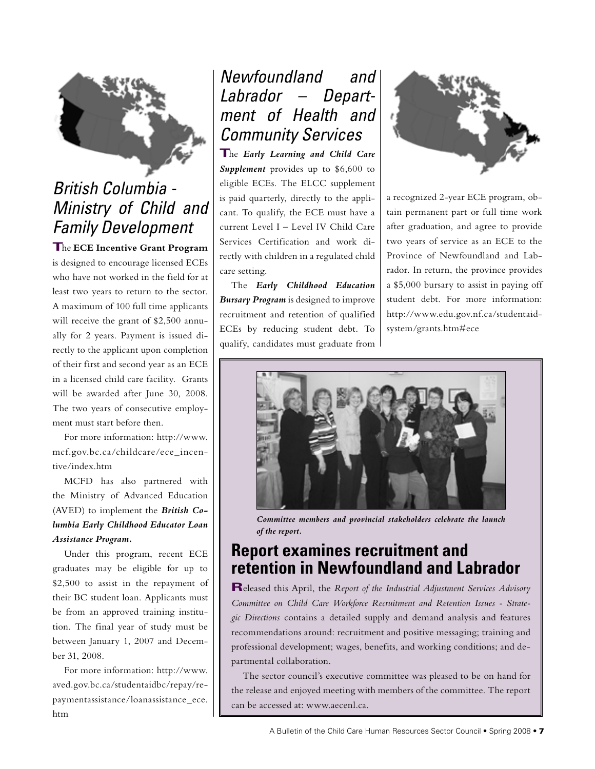

## British Columbia - Ministry of Child and Family Development

**T**he **ECE Incentive Grant Program** is designed to encourage licensed ECEs who have not worked in the field for at least two years to return to the sector. A maximum of 100 full time applicants will receive the grant of \$2,500 annually for 2 years. Payment is issued directly to the applicant upon completion of their first and second year as an ECE in a licensed child care facility. Grants will be awarded after June 30, 2008. The two years of consecutive employment must start before then.

For more information: http://www. mcf.gov.bc.ca/childcare/ece\_incentive/index.htm

MCFD has also partnered with the Ministry of Advanced Education (AVED) to implement the *British Columbia Early Childhood Educator Loan Assistance Program.*

Under this program, recent ECE graduates may be eligible for up to \$2,500 to assist in the repayment of their BC student loan. Applicants must be from an approved training institution. The final year of study must be between January 1, 2007 and December 31, 2008.

For more information: http://www. aved.gov.bc.ca/studentaidbc/repay/repaymentassistance/loanassistance\_ece. htm

## Newfoundland and Labrador – Department of Health and Community Services

**T**he *Early Learning and Child Care Supplement* provides up to \$6,600 to eligible ECEs. The ELCC supplement is paid quarterly, directly to the applicant. To qualify, the ECE must have a current Level I – Level IV Child Care Services Certification and work directly with children in a regulated child care setting.

The *Early Childhood Education Bursary Program* is designed to improve recruitment and retention of qualified ECEs by reducing student debt. To qualify, candidates must graduate from



a recognized 2-year ECE program, obtain permanent part or full time work after graduation, and agree to provide two years of service as an ECE to the Province of Newfoundland and Labrador. In return, the province provides a \$5,000 bursary to assist in paying off student debt. For more information: http://www.edu.gov.nf.ca/studentaidsystem/grants.htm#ece



*Committee members and provincial stakeholders celebrate the launch of the report.*

### **Report examines recruitment and retention in Newfoundland and Labrador**

**R**eleased this April, the *Report of the Industrial Adjustment Services Advisory Committee on Child Care Workforce Recruitment and Retention Issues - Strategic Directions* contains a detailed supply and demand analysis and features recommendations around: recruitment and positive messaging; training and professional development; wages, benefits, and working conditions; and departmental collaboration.

The sector council's executive committee was pleased to be on hand for the release and enjoyed meeting with members of the committee. The report can be accessed at: www.aecenl.ca.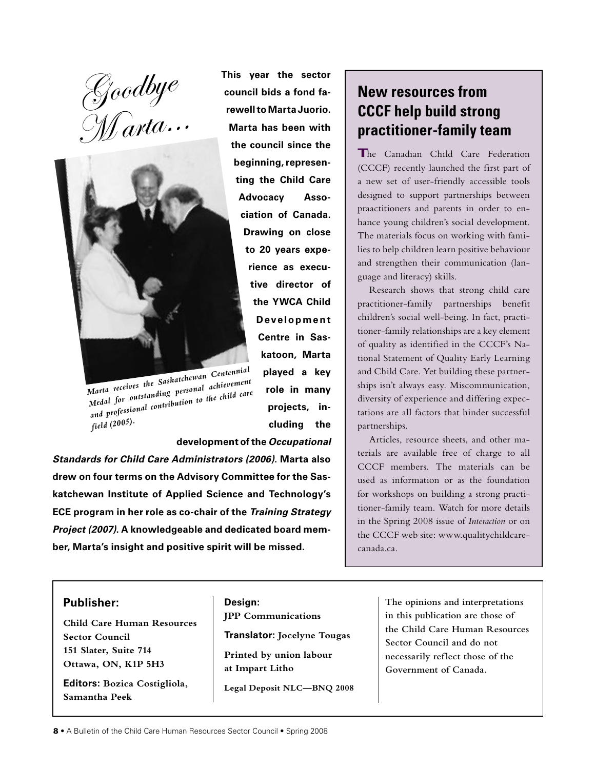Goodbye  $M$ arta...



*Marta receives the Saskatchewan Centennial Medal for outstanding personal achievement and professional contribution to the child care field (2005).*

**This year the sector council bids a fond farewell to Marta Juorio. Marta has been with the council since the beginning, representing the Child Care Advocacy Association of Canada. Drawing on close to 20 years experience as executive director of the YWCA Child Development Centre in Saskatoon, Marta played a key role in many projects, including the development of the Occupational** 

**Standards for Child Care Administrators (2006). Marta also drew on four terms on the Advisory Committee for the Saskatchewan Institute of Applied Science and Technology's ECE program in her role as co-chair of the Training Strategy Project (2007). A knowledgeable and dedicated board member, Marta's insight and positive spirit will be missed.**

### **New resources from CCCF help build strong practitioner-family team**

**T**he Canadian Child Care Federation (CCCF) recently launched the first part of a new set of user-friendly accessible tools designed to support partnerships between praactitioners and parents in order to enhance young children's social development. The materials focus on working with families to help children learn positive behaviour and strengthen their communication (language and literacy) skills.

Research shows that strong child care practitioner-family partnerships benefit children's social well-being. In fact, practitioner-family relationships are a key element of quality as identified in the CCCF's National Statement of Quality Early Learning and Child Care. Yet building these partnerships isn't always easy. Miscommunication, diversity of experience and differing expectations are all factors that hinder successful partnerships.

Articles, resource sheets, and other materials are available free of charge to all CCCF members. The materials can be used as information or as the foundation for workshops on building a strong practitioner-family team. Watch for more details in the Spring 2008 issue of *Interaction* or on the CCCF web site: www.qualitychildcarecanada.ca.

#### **Publisher:**

**Child Care Human Resources Sector Council 151 Slater, Suite 714 Ottawa, ON, K1P 5H3**

**Editors: Bozica Costigliola, Samantha Peek**

**Design: JPP Communications**

**Translator: Jocelyne Tougas**

**Printed by union labour at Impart Litho**

**Legal Deposit NLC—BNQ 2008**

**The opinions and interpretations in this publication are those of the Child Care Human Resources Sector Council and do not necessarily reflect those of the Government of Canada.**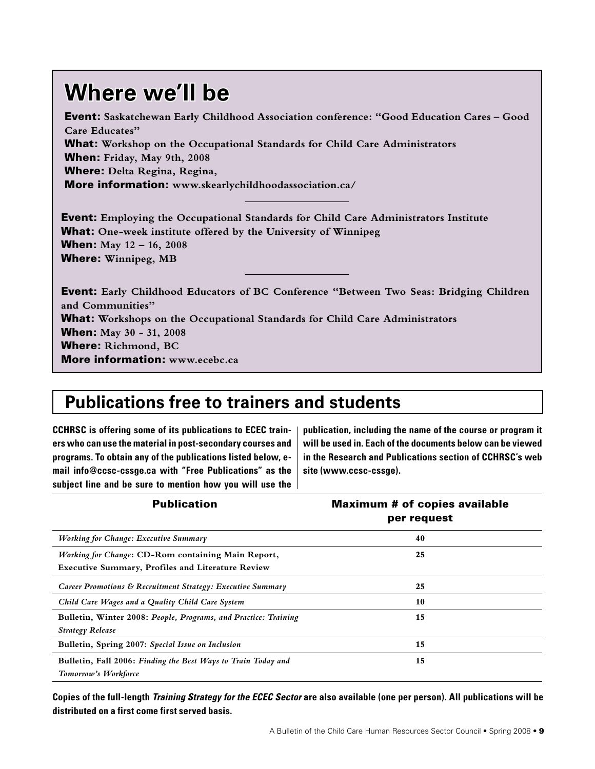## **Where we'll be**

Event: **Saskatchewan Early Childhood Association conference: "Good Education Cares – Good Care Educates"** What: **Workshop on the Occupational Standards for Child Care Administrators** When: **Friday, May 9th, 2008** Where: **Delta Regina, Regina,**  More information: **www.skearlychildhoodassociation.ca/**

Event: **Employing the Occupational Standards for Child Care Administrators Institute** What: **One-week institute offered by the University of Winnipeg** When: **May 12 – 16, 2008** Where: **Winnipeg, MB**

Event: **Early Childhood Educators of BC Conference "Between Two Seas: Bridging Children and Communities"** What: **Workshops on the Occupational Standards for Child Care Administrators** When: **May 30 - 31, 2008** Where: **Richmond, BC** More information: **www.ecebc.ca**

## **Publications free to trainers and students**

**CCHRSC is offering some of its publications to ECEC trainers who can use the material in post-secondary courses and programs. To obtain any of the publications listed below, email info@ccsc-cssge.ca with "Free Publications" as the subject line and be sure to mention how you will use the**  **publication, including the name of the course or program it will be used in. Each of the documents below can be viewed in the Research and Publications section of CCHRSC's web site (www.ccsc-cssge).**

| <b>Publication</b>                                                                                             | <b>Maximum # of copies available</b><br>per request |
|----------------------------------------------------------------------------------------------------------------|-----------------------------------------------------|
| <b>Working for Change: Executive Summary</b>                                                                   | 40                                                  |
| Working for Change: CD-Rom containing Main Report,<br><b>Executive Summary, Profiles and Literature Review</b> | 25                                                  |
| Career Promotions & Recruitment Strategy: Executive Summary                                                    | 25                                                  |
| Child Care Wages and a Quality Child Care System                                                               | 10                                                  |
| Bulletin, Winter 2008: People, Programs, and Practice: Training<br><b>Strategy Release</b>                     | 15                                                  |
| Bulletin, Spring 2007: Special Issue on Inclusion                                                              | 15                                                  |
| Bulletin, Fall 2006: Finding the Best Ways to Train Today and<br>Tomorrow's Workforce                          | 15                                                  |

**Copies of the full-length Training Strategy for the ECEC Sector are also available (one per person). All publications will be distributed on a first come first served basis.**